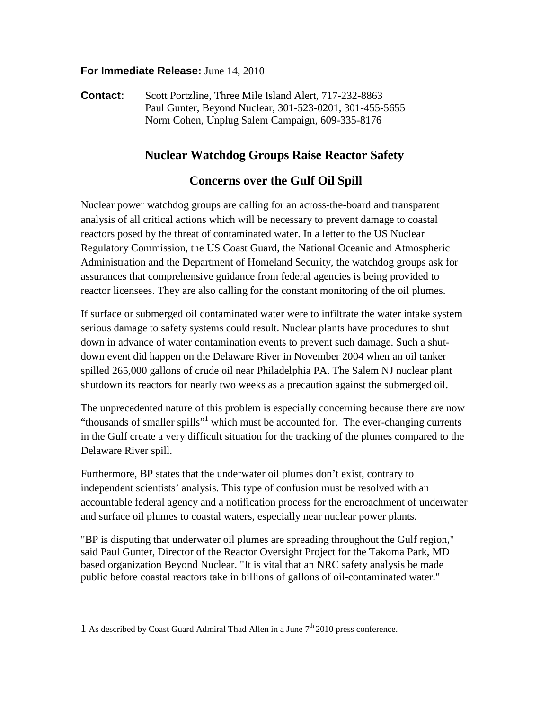### **For Immediate Release:** June 14, 2010

**Contact:** Scott Portzline, Three Mile Island Alert, 717-232-8863 Paul Gunter, Beyond Nuclear, 301-523-0201, 301-455-5655 Norm Cohen, Unplug Salem Campaign, 609-335-8176

# **Nuclear Watchdog Groups Raise Reactor Safety**

## **Concerns over the Gulf Oil Spill**

Nuclear power watchdog groups are calling for an across-the-board and transparent analysis of all critical actions which will be necessary to prevent damage to coastal reactors posed by the threat of contaminated water. In a letter to the US Nuclear Regulatory Commission, the US Coast Guard, the National Oceanic and Atmospheric Administration and the Department of Homeland Security, the watchdog groups ask for assurances that comprehensive guidance from federal agencies is being provided to reactor licensees. They are also calling for the constant monitoring of the oil plumes.

If surface or submerged oil contaminated water were to infiltrate the water intake system serious damage to safety systems could result. Nuclear plants have procedures to shut down in advance of water contamination events to prevent such damage. Such a shutdown event did happen on the Delaware River in November 2004 when an oil tanker spilled 265,000 gallons of crude oil near Philadelphia PA. The Salem NJ nuclear plant shutdown its reactors for nearly two weeks as a precaution against the submerged oil.

The unprecedented nature of this problem is especially concerning because there are now "thousands of smaller spills"<sup>1</sup> which must be accounted for. The ever-changing currents in the Gulf create a very difficult situation for the tracking of the plumes compared to the Delaware River spill.

Furthermore, BP states that the underwater oil plumes don't exist, contrary to independent scientists' analysis. This type of confusion must be resolved with an accountable federal agency and a notification process for the encroachment of underwater and surface oil plumes to coastal waters, especially near nuclear power plants.

"BP is disputing that underwater oil plumes are spreading throughout the Gulf region," said Paul Gunter, Director of the Reactor Oversight Project for the Takoma Park, MD based organization Beyond Nuclear. "It is vital that an NRC safety analysis be made public before coastal reactors take in billions of gallons of oil-contaminated water."

 $\overline{a}$ 

<sup>1</sup> As described by Coast Guard Admiral Thad Allen in a June  $7<sup>th</sup>$  2010 press conference.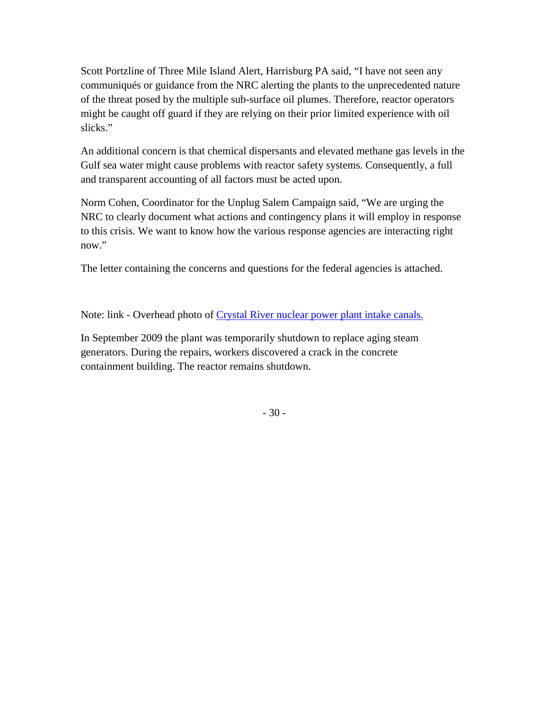Scott Portzline of Three Mile Island Alert, Harrisburg PA said, "I have not seen any communiqués or guidance from the NRC alerting the plants to the unprecedented nature of the threat posed by the multiple sub-surface oil plumes. Therefore, reactor operators might be caught off guard if they are relying on their prior limited experience with oil slicks."

An additional concern is that chemical dispersants and elevated methane gas levels in the Gulf sea water might cause problems with reactor safety systems. Consequently, a full and transparent accounting of all factors must be acted upon.

Norm Cohen, Coordinator for the Unplug Salem Campaign said, "We are urging the NRC to clearly document what actions and contingency plans it will employ in response to this crisis. We want to know how the various response agencies are interacting right now."

The letter containing the concerns and questions for the federal agencies is attached.

Note: link - Overhead photo of [Crystal River nuclear power plant intake canals.](http://www.mapquest.com/mq/2-epNFUsNI) 

In September 2009 the plant was temporarily shutdown to replace aging steam generators. During the repairs, workers discovered a crack in the concrete containment building. The reactor remains shutdown.

- 30 -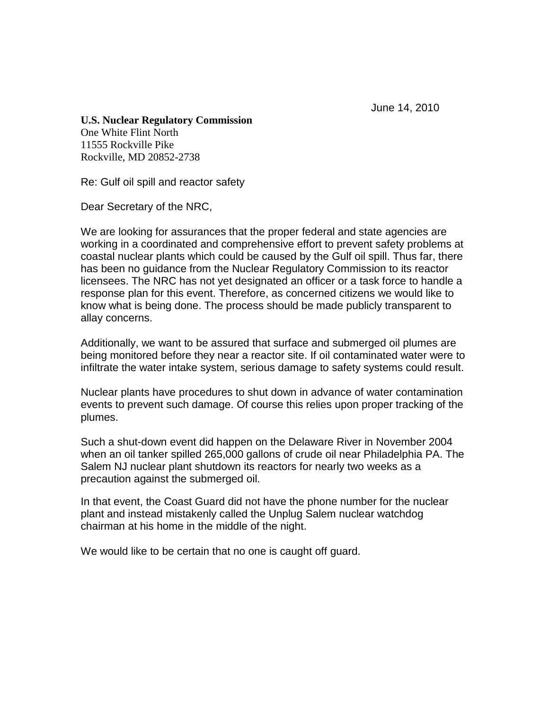June 14, 2010

## **U.S. Nuclear Regulatory Commission**

One White Flint North 11555 Rockville Pike Rockville, MD 20852-2738

Re: Gulf oil spill and reactor safety

Dear Secretary of the NRC,

We are looking for assurances that the proper federal and state agencies are working in a coordinated and comprehensive effort to prevent safety problems at coastal nuclear plants which could be caused by the Gulf oil spill. Thus far, there has been no guidance from the Nuclear Regulatory Commission to its reactor licensees. The NRC has not yet designated an officer or a task force to handle a response plan for this event. Therefore, as concerned citizens we would like to know what is being done. The process should be made publicly transparent to allay concerns.

Additionally, we want to be assured that surface and submerged oil plumes are being monitored before they near a reactor site. If oil contaminated water were to infiltrate the water intake system, serious damage to safety systems could result.

Nuclear plants have procedures to shut down in advance of water contamination events to prevent such damage. Of course this relies upon proper tracking of the plumes.

Such a shut-down event did happen on the Delaware River in November 2004 when an oil tanker spilled 265,000 gallons of crude oil near Philadelphia PA. The Salem NJ nuclear plant shutdown its reactors for nearly two weeks as a precaution against the submerged oil.

In that event, the Coast Guard did not have the phone number for the nuclear plant and instead mistakenly called the Unplug Salem nuclear watchdog chairman at his home in the middle of the night.

We would like to be certain that no one is caught off guard.